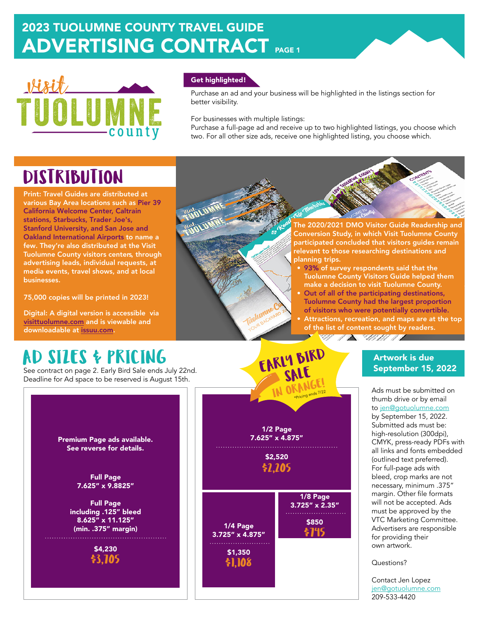## 2023 TUOLUMNE COUNTY TRAVEL GUIDE ADVERTISING CONTRACT PAGE 1



### Get highlighted!

Purchase an ad and your business will be highlighted in the listings section for better visibility.

For businesses with multiple listings:

Purchase a full-page ad and receive up to two highlighted listings, you choose which two. For all other size ads, receive one highlighted listing, you choose which.

# **DISTRIBUTION**

Print: Travel Guides are distributed at various Bay Area locations such as Pier 39 California Welcome Center, Caltrain stations, Starbucks, Trader Joe's, Stanford University, and San Jose and Oakland International Airports to name a few. They're also distributed at the Visit Tuolumne County visitors centers, through advertising leads, individual requests, at media events, travel shows, and at local businesses.

75,000 copies will be printed in 2023!

Digital: A digital version is accessible via vi[sittuolumne.com](http://visittuolumne.com/) and is viewable and downloadable at [issuu.com.](https://issuu.com/tuolumnecountyvb/docs/2021_visit_tuolumne_county_inspiration_travel_guid)

See contract on page 2. Early Bird Sale ends July 22nd. Deadline for Ad space to be reserved is August 15th.

The 2020/2021 DMO Visitor Guide Readership and Conversion Study, in which Visit Tuolumne County participated concluded that visitors guides remain relevant to those researching destinations and planning trips.

• 93% of survey respondents said that the Tuolumne County Visitors Guide helped them make a decision to visit Tuolumne County. • Out of all of the participating destinations, Tuolumne County had the largest proportion of visitors who were potentially convertible. • Attractions, recreation, and maps are at the top

of the list of content sought by readers. <u>ET IT SHIHITI T</u>

### 1/2 Page 7.625" x 4.875" \$2,520 1/4 Page 3.725" x 4.875" \$1,350 AD SIZES & PRICING<br>See contract on page 2. Early Bird Sale ends July 22nd.<br>Deadline for Ad space to be reserved is August 15th IN ORANG \$2,205 \$1,108 1/8 Page 3.725" x 2.35" \$850 \$745 Pricing ends 7/22

### Artwork is due September 15, 2022

Ads must be submitted on thumb drive or by email to [jen@gotuolumne.com](mailto:jen%40gotuolumne.com?subject=VTC%20Travel%20Guide) by September 15, 2022. Submitted ads must be: high-resolution (300dpi), CMYK, press-ready PDFs with all links and fonts embedded (outlined text preferred). For full-page ads with bleed, crop marks are not necessary, minimum .375" margin. Other file formats will not be accepted. Ads must be approved by the VTC Marketing Committee. Advertisers are responsible for providing their own artwork.

### Questions?

Contact Jen Lopez [jen@gotuolumne.com](mailto:jen%40gotuolumne.com?subject=VTC%20Travel%20Guide) 209-533-4420

Premium Page ads available. See reverse for details.

> Full Page 7.625" x 9.8825"

Full Page including .125" bleed 8.625" x 11.125" (min. .375" margin)

> \$4,230 \$3,705